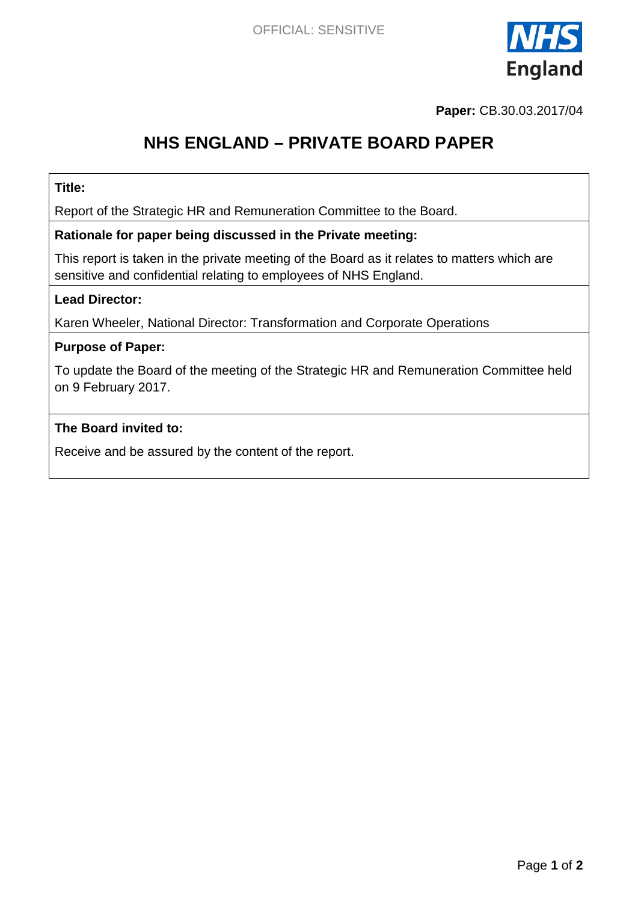

**Paper:** CB.30.03.2017/04

# **NHS ENGLAND – PRIVATE BOARD PAPER**

### **Title:**

Report of the Strategic HR and Remuneration Committee to the Board.

### **Rationale for paper being discussed in the Private meeting:**

This report is taken in the private meeting of the Board as it relates to matters which are sensitive and confidential relating to employees of NHS England.

### **Lead Director:**

Karen Wheeler, National Director: Transformation and Corporate Operations

### **Purpose of Paper:**

To update the Board of the meeting of the Strategic HR and Remuneration Committee held on 9 February 2017.

### **The Board invited to:**

Receive and be assured by the content of the report.